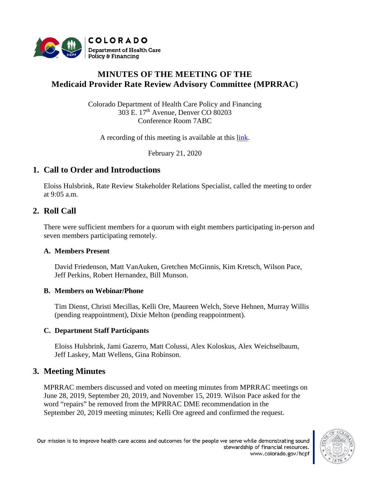

# **MINUTES OF THE MEETING OF THE Medicaid Provider Rate Review Advisory Committee (MPRRAC)**

Colorado Department of Health Care Policy and Financing 303 E. 17th Avenue, Denver CO 80203 Conference Room 7ABC

A recording of this meeting is available at this [link.](http://cohcpf.adobeconnect.com/pl7la4u3kkix/)

February 21, 2020

# **1. Call to Order and Introductions**

Eloiss Hulsbrink, Rate Review Stakeholder Relations Specialist, called the meeting to order at 9:05 a.m.

## **2. Roll Call**

There were sufficient members for a quorum with eight members participating in-person and seven members participating remotely.

#### **A. Members Present**

David Friedenson, Matt VanAuken, Gretchen McGinnis, Kim Kretsch, Wilson Pace, Jeff Perkins, Robert Hernandez, Bill Munson.

#### **B. Members on Webinar/Phone**

Tim Dienst, Christi Mecillas, Kelli Ore, Maureen Welch, Steve Hehnen, Murray Willis (pending reappointment), Dixie Melton (pending reappointment).

## **C. Department Staff Participants**

Eloiss Hulsbrink, Jami Gazerro, Matt Colussi, Alex Koloskus, Alex Weichselbaum, Jeff Laskey, Matt Wellens, Gina Robinson.

## **3. Meeting Minutes**

MPRRAC members discussed and voted on meeting minutes from MPRRAC meetings on June 28, 2019, September 20, 2019, and November 15, 2019. Wilson Pace asked for the word "repairs" be removed from the MPRRAC DME recommendation in the September 20, 2019 meeting minutes; Kelli Ore agreed and confirmed the request.

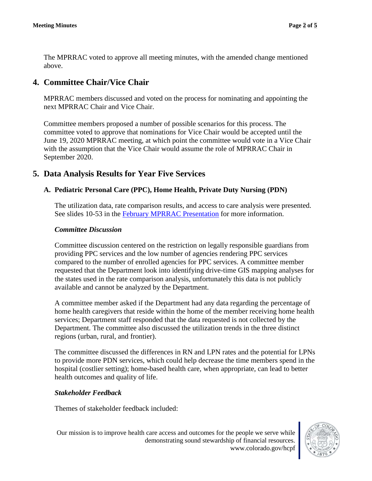The MPRRAC voted to approve all meeting minutes, with the amended change mentioned above.

# **4. Committee Chair/Vice Chair**

MPRRAC members discussed and voted on the process for nominating and appointing the next MPRRAC Chair and Vice Chair.

Committee members proposed a number of possible scenarios for this process. The committee voted to approve that nominations for Vice Chair would be accepted until the June 19, 2020 MPRRAC meeting, at which point the committee would vote in a Vice Chair with the assumption that the Vice Chair would assume the role of MPRRAC Chair in September 2020.

## **5. Data Analysis Results for Year Five Services**

### **A. Pediatric Personal Care (PPC), Home Health, Private Duty Nursing (PDN)**

The utilization data, rate comparison results, and access to care analysis were presented. See slides 10-53 in the [February MPRRAC Presentation](https://www.colorado.gov/pacific/sites/default/files/MPRRAC_pwptslides_21%20Feb2020.pdf) for more information.

#### *Committee Discussion*

Committee discussion centered on the restriction on legally responsible guardians from providing PPC services and the low number of agencies rendering PPC services compared to the number of enrolled agencies for PPC services. A committee member requested that the Department look into identifying drive-time GIS mapping analyses for the states used in the rate comparison analysis, unfortunately this data is not publicly available and cannot be analyzed by the Department.

A committee member asked if the Department had any data regarding the percentage of home health caregivers that reside within the home of the member receiving home health services; Department staff responded that the data requested is not collected by the Department. The committee also discussed the utilization trends in the three distinct regions (urban, rural, and frontier).

The committee discussed the differences in RN and LPN rates and the potential for LPNs to provide more PDN services, which could help decrease the time members spend in the hospital (costlier setting); home-based health care, when appropriate, can lead to better health outcomes and quality of life.

#### *Stakeholder Feedback*

Themes of stakeholder feedback included:



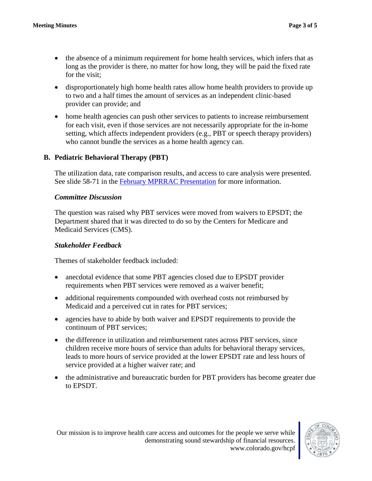- the absence of a minimum requirement for home health services, which infers that as long as the provider is there, no matter for how long, they will be paid the fixed rate for the visit;
- disproportionately high home health rates allow home health providers to provide up to two and a half times the amount of services as an independent clinic-based provider can provide; and
- home health agencies can push other services to patients to increase reimbursement for each visit, even if those services are not necessarily appropriate for the in-home setting, which affects independent providers (e.g., PBT or speech therapy providers) who cannot bundle the services as a home health agency can.

## **B. Pediatric Behavioral Therapy (PBT)**

The utilization data, rate comparison results, and access to care analysis were presented. See slide 58-71 in the [February MPRRAC Presentation](https://www.colorado.gov/pacific/sites/default/files/MPRRAC_pwptslides_21%20Feb2020.pdf) for more information.

#### *Committee Discussion*

The question was raised why PBT services were moved from waivers to EPSDT; the Department shared that it was directed to do so by the Centers for Medicare and Medicaid Services (CMS).

#### *Stakeholder Feedback*

Themes of stakeholder feedback included:

- anecdotal evidence that some PBT agencies closed due to EPSDT provider requirements when PBT services were removed as a waiver benefit;
- additional requirements compounded with overhead costs not reimbursed by Medicaid and a perceived cut in rates for PBT services;
- agencies have to abide by both waiver and EPSDT requirements to provide the continuum of PBT services;
- the difference in utilization and reimbursement rates across PBT services, since children receive more hours of service than adults for behavioral therapy services, leads to more hours of service provided at the lower EPSDT rate and less hours of service provided at a higher waiver rate; and
- the administrative and bureaucratic burden for PBT providers has become greater due to EPSDT.

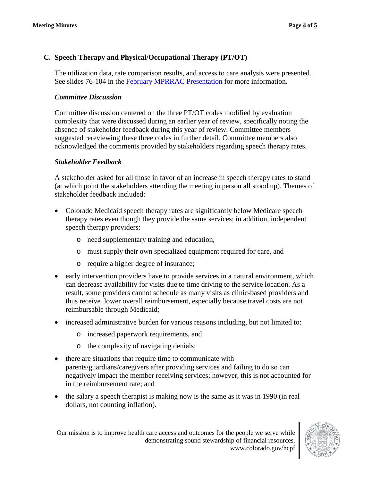## **C. Speech Therapy and Physical/Occupational Therapy (PT/OT)**

The utilization data, rate comparison results, and access to care analysis were presented. See slides 76-104 in the [February MPRRAC Presentation](https://www.colorado.gov/pacific/sites/default/files/MPRRAC_pwptslides_21%20Feb2020.pdf) for more information.

## *Committee Discussion*

Committee discussion centered on the three PT/OT codes modified by evaluation complexity that were discussed during an earlier year of review, specifically noting the absence of stakeholder feedback during this year of review. Committee members suggested rereviewing these three codes in further detail. Committee members also acknowledged the comments provided by stakeholders regarding speech therapy rates.

### *Stakeholder Feedback*

A stakeholder asked for all those in favor of an increase in speech therapy rates to stand (at which point the stakeholders attending the meeting in person all stood up). Themes of stakeholder feedback included:

- Colorado Medicaid speech therapy rates are significantly below Medicare speech therapy rates even though they provide the same services; in addition, independent speech therapy providers:
	- o need supplementary training and education,
	- o must supply their own specialized equipment required for care, and
	- o require a higher degree of insurance;
- early intervention providers have to provide services in a natural environment, which can decrease availability for visits due to time driving to the service location. As a result, some providers cannot schedule as many visits as clinic-based providers and thus receive lower overall reimbursement, especially because travel costs are not reimbursable through Medicaid;
- increased administrative burden for various reasons including, but not limited to:
	- o increased paperwork requirements, and
	- o the complexity of navigating denials;
- there are situations that require time to communicate with parents/guardians/caregivers after providing services and failing to do so can negatively impact the member receiving services; however, this is not accounted for in the reimbursement rate; and
- the salary a speech therapist is making now is the same as it was in 1990 (in real dollars, not counting inflation).

Our mission is to improve health care access and outcomes for the people we serve while demonstrating sound stewardship of financial resources. www.colorado.gov/hcpf